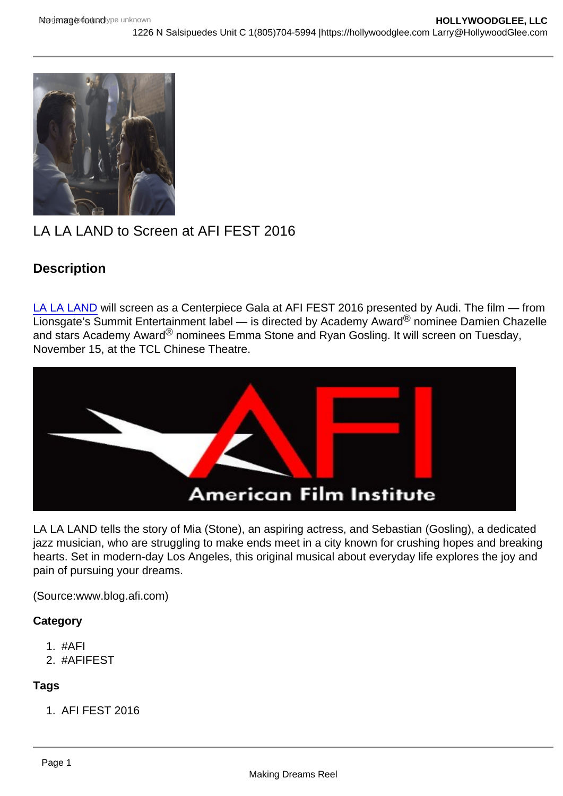## LA LA LAND to Screen at AFI FEST 2016

## **Description**

[LA LA LAND](https://hollywoodglee.com/2016/09/27/film-review-la-la-land-chazelle-2016-usa/) will screen as a Centerpiece Gala at AFI FEST 2016 presented by Audi. The film — from Lionsgate's Summit Entertainment label — is directed by Academy Award® nominee Damien Chazelle and stars Academy Award® nominees Emma Stone and Ryan Gosling. It will screen on Tuesday, November 15, at the TCL Chinese Theatre.

LA LA LAND tells the story of Mia (Stone), an aspiring actress, and Sebastian (Gosling), a dedicated jazz musician, who are struggling to make ends meet in a city known for crushing hopes and breaking hearts. Set in modern-day Los Angeles, this original musical about everyday life explores the joy and pain of pursuing your dreams.

(Source:www.blog.afi.com)

**Category** 

- 1. #AFI
- 2. #AFIFEST

## Tags

1. AFI FEST 2016